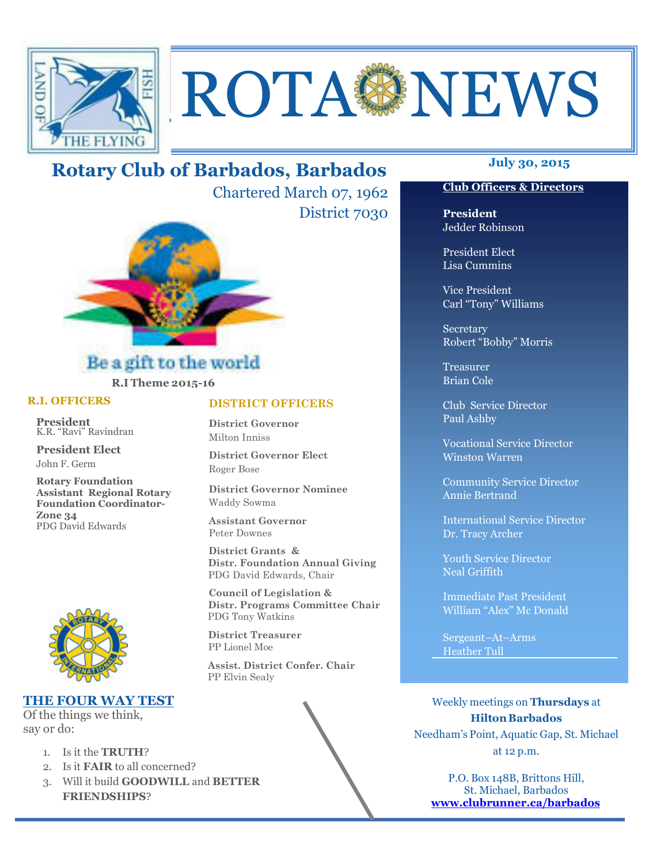

# ROTAGNEWS

# **July 30, 2015 Rotary Club of Barbados, Barbados**

Chartered March 07, 1962 District 7030



#### Be a gift to the world **R.I Theme 2015-16**

#### **R.I. OFFICERS**

**President** K.R. "Ravi" Ravindran

**President Elect** John F. Germ

**Rotary Foundation Assistant Regional Rotary Foundation Coordinator-Zone 34**  PDG David Edwards



#### **THE FOUR WAY TEST**

Of the things we think, say or do:

ī

- 1. Is it the **TRUTH**?
- 2. Is it **FAIR** to all concerned?
- 3. Will it build **GOODWILL** and **BETTER FRIENDSHIPS**?

#### **DISTRICT OFFICERS**

**District Governor** Milton Inniss

**District Governor Elect** Roger Bose

**District Governor Nominee**  Waddy Sowma

**Assistant Governor**  Peter Downes

 **District Grants & Distr. Foundation Annual Giving** PDG David Edwards, Chair

 **Council of Legislation & Distr. Programs Committee Chair** PDG Tony Watkins

 **District Treasurer**  PP Lionel Moe

 **Assist. District Confer. Chair**  PP Elvin Sealy

#### **Club Officers & Directors**

**President** Jedder Robinson

President Elect Lisa Cummins

Vice President Carl "Tony" Williams

Secretary Robert "Bobby" Morris

Treasurer Brian Cole

Club Service Director Paul Ashby

Vocational Service Director Winston Warren

Community Service Director Annie Bertrand

International Service Director Dr. Tracy Archer

Youth Service Director Neal Griffith

Immediate Past President William "Alex" Mc Donald

Sergeant–At–Arms Heather Tull

Weekly meetings on **Thursdays** at **Hilton Barbados** Needham's Point, Aquatic Gap, St. Michael at 12 p.m.

P.O. Box 148B, Brittons Hill, St. Michael, Barbados **www.clubrunner.ca/barbados**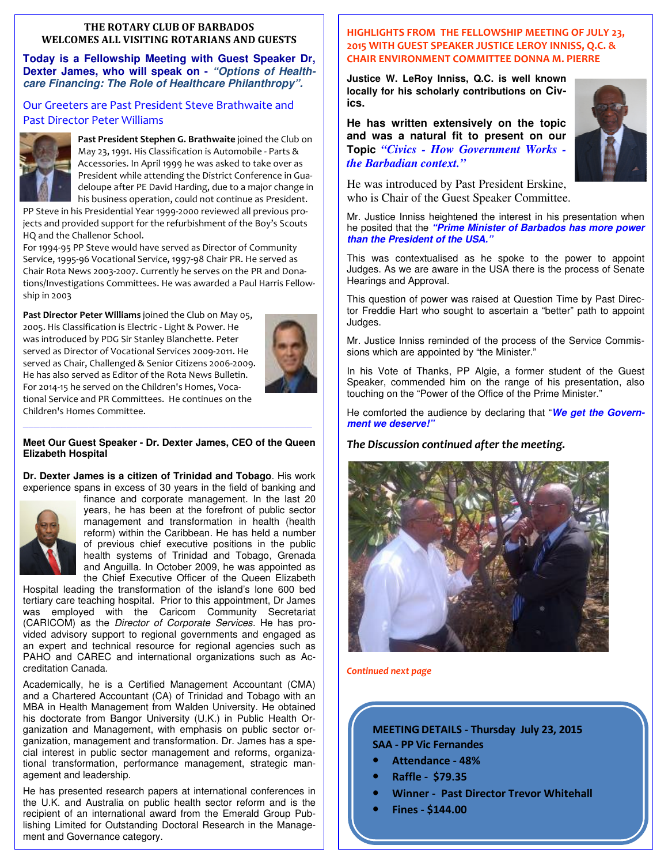#### **THE ROTARY CLUB OF BARBADOS WELCOMES ALL VISITING ROTARIANS AND GUESTS**

**Today is a Fellowship Meeting with Guest Speaker Dr, Dexter James, who will speak on -** *"Options of Healthcare Financing: The Role of Healthcare Philanthropy".* 

Our Greeters are Past President Steve Brathwaite and Past Director Peter Williams



**Past President Stephen G. Brathwaite** joined the Club on May 23, 1991. His Classification is Automobile - Parts & Accessories. In April 1999 he was asked to take over as President while attending the District Conference in Guadeloupe after PE David Harding, due to a major change in his business operation, could not continue as President.

PP Steve in his Presidential Year 1999-2000 reviewed all previous projects and provided support for the refurbishment of the Boy's Scouts HQ and the Challenor School.

For 1994-95 PP Steve would have served as Director of Community Service, 1995-96 Vocational Service, 1997-98 Chair PR. He served as Chair Rota News 2003-2007. Currently he serves on the PR and Donations/Investigations Committees. He was awarded a Paul Harris Fellowship in 2003

**Past Director Peter Williams** joined the Club on May 05, 2005. His Classification is Electric - Light & Power. He was introduced by PDG Sir Stanley Blanchette. Peter served as Director of Vocational Services 2009-2011. He served as Chair, Challenged & Senior Citizens 2006-2009. He has also served as Editor of the Rota News Bulletin. For 2014-15 he served on the Children's Homes, Vocational Service and PR Committees. He continues on the Children's Homes Committee.



#### *—————————————————————————————————————————————————————*  **Meet Our Guest Speaker - Dr. Dexter James, CEO of the Queen Elizabeth Hospital**

**Dr. Dexter James is a citizen of Trinidad and Tobago**. His work experience spans in excess of 30 years in the field of banking and



finance and corporate management. In the last 20 years, he has been at the forefront of public sector management and transformation in health (health reform) within the Caribbean. He has held a number of previous chief executive positions in the public health systems of Trinidad and Tobago, Grenada and Anguilla. In October 2009, he was appointed as the Chief Executive Officer of the Queen Elizabeth

Hospital leading the transformation of the island's lone 600 bed tertiary care teaching hospital. Prior to this appointment, Dr James was employed with the Caricom Community Secretariat (CARICOM) as the Director of Corporate Services. He has provided advisory support to regional governments and engaged as an expert and technical resource for regional agencies such as PAHO and CAREC and international organizations such as Accreditation Canada.

Academically, he is a Certified Management Accountant (CMA) and a Chartered Accountant (CA) of Trinidad and Tobago with an MBA in Health Management from Walden University. He obtained his doctorate from Bangor University (U.K.) in Public Health Organization and Management, with emphasis on public sector organization, management and transformation. Dr. James has a special interest in public sector management and reforms, organizational transformation, performance management, strategic management and leadership.

 lishing Limited for Outstanding Doctoral Research in the Manage-He has presented research papers at international conferences in the U.K. and Australia on public health sector reform and is the recipient of an international award from the Emerald Group Pubment and Governance category.

#### **HIGHLIGHTS FROM THE FELLOWSHIP MEETING OF JULY 23, 2015 WITH GUEST SPEAKER JUSTICE LEROY INNISS, Q.C. & CHAIR ENVIRONMENT COMMITTEE DONNA M. PIERRE**

**Justice W. LeRoy Inniss, Q.C. is well known locally for his scholarly contributions on Civics.** 

**He has written extensively on the topic and was a natural fit to present on our Topic** *"Civics - How Government Works the Barbadian context."*



He was introduced by Past President Erskine, who is Chair of the Guest Speaker Committee.

Mr. Justice Inniss heightened the interest in his presentation when he posited that the *"Prime Minister of Barbados has more power than the President of the USA."*

This was contextualised as he spoke to the power to appoint Judges. As we are aware in the USA there is the process of Senate Hearings and Approval.

This question of power was raised at Question Time by Past Director Freddie Hart who sought to ascertain a "better" path to appoint Judges.

Mr. Justice Inniss reminded of the process of the Service Commissions which are appointed by "the Minister."

In his Vote of Thanks, PP Algie, a former student of the Guest Speaker, commended him on the range of his presentation, also touching on the "Power of the Office of the Prime Minister."

He comforted the audience by declaring that "*We get the Government we deserve!"* 

#### *The Discussion continued after the meeting.*



*Continued next page* 

**MEETING DETAILS - Thursday July 23, 2015 SAA - PP Vic Fernandes** 

- **Attendance 48%**
- **Raffle \$79.35**
- **Winner Past Director Trevor Whitehall**
- **Fines \$144.00**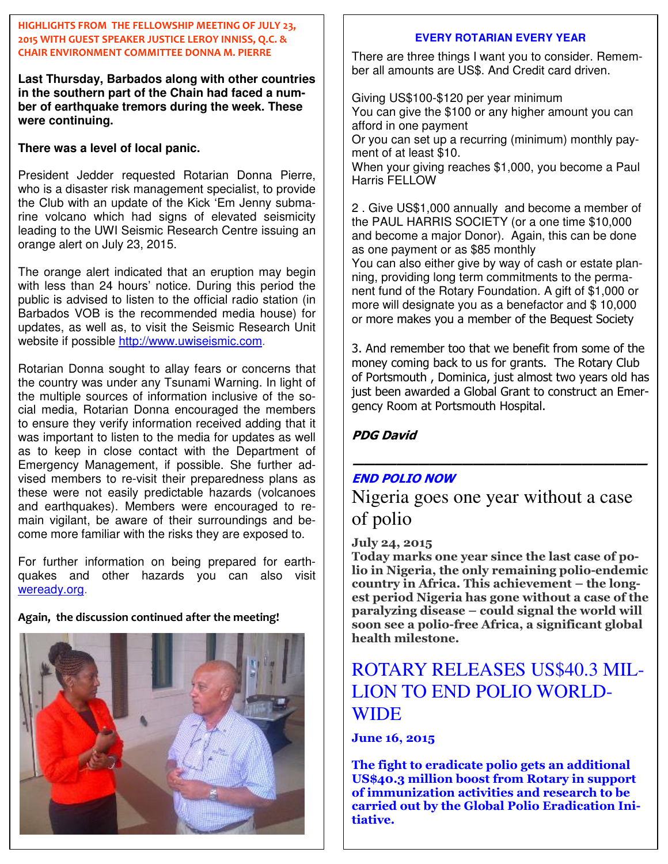#### **HIGHLIGHTS FROM THE FELLOWSHIP MEETING OF JULY 23, 2015 WITH GUEST SPEAKER JUSTICE LEROY INNISS, Q.C. & CHAIR ENVIRONMENT COMMITTEE DONNA M. PIERRE**

**Last Thursday, Barbados along with other countries in the southern part of the Chain had faced a number of earthquake tremors during the week. These were continuing.** 

**There was a level of local panic.** 

President Jedder requested Rotarian Donna Pierre, who is a disaster risk management specialist, to provide the Club with an update of the Kick 'Em Jenny submarine volcano which had signs of elevated seismicity leading to the UWI Seismic Research Centre issuing an orange alert on July 23, 2015.

The orange alert indicated that an eruption may begin with less than 24 hours' notice. During this period the public is advised to listen to the official radio station (in Barbados VOB is the recommended media house) for updates, as well as, to visit the Seismic Research Unit website if possible http://www.uwiseismic.com.

Rotarian Donna sought to allay fears or concerns that the country was under any Tsunami Warning. In light of the multiple sources of information inclusive of the social media, Rotarian Donna encouraged the members to ensure they verify information received adding that it was important to listen to the media for updates as well as to keep in close contact with the Department of Emergency Management, if possible. She further advised members to re-visit their preparedness plans as these were not easily predictable hazards (volcanoes and earthquakes). Members were encouraged to remain vigilant, be aware of their surroundings and become more familiar with the risks they are exposed to.

For further information on being prepared for earthquakes and other hazards you can also visit weready.org.

**Again, the discussion continued after the meeting!**



#### **EVERY ROTARIAN EVERY YEAR**

There are three things I want you to consider. Remember all amounts are US\$. And Credit card driven.

Giving US\$100-\$120 per year minimum You can give the \$100 or any higher amount you can afford in one payment

Or you can set up a recurring (minimum) monthly payment of at least \$10.

When your giving reaches \$1,000, you become a Paul Harris FELLOW

2 . Give US\$1,000 annually and become a member of the PAUL HARRIS SOCIETY (or a one time \$10,000 and become a major Donor). Again, this can be done as one payment or as \$85 monthly

You can also either give by way of cash or estate planning, providing long term commitments to the permanent fund of the Rotary Foundation. A gift of \$1,000 or more will designate you as a benefactor and \$ 10,000 or more makes you a member of the Bequest Society

3. And remember too that we benefit from some of the money coming back to us for grants. The Rotary Club of Portsmouth , Dominica, just almost two years old has just been awarded a Global Grant to construct an Emergency Room at Portsmouth Hospital.

**PDG David** 

#### **END POLIO NOW**

Nigeria goes one year without a case of polio

**———————————————————————————**

#### **July 24, 2015**

**Today marks one year since the last case of polio in Nigeria, the only remaining polio-endemic country in Africa. This achievement – the longest period Nigeria has gone without a case of the paralyzing disease – could signal the world will soon see a polio-free Africa, a significant global health milestone.** 

## ROTARY RELEASES US\$40.3 MIL-LION TO END POLIO WORLD-**WIDE**

**June 16, 2015** 

**The fight to eradicate polio gets an additional US\$40.3 million boost from Rotary in support of immunization activities and research to be carried out by the Global Polio Eradication Initiative.**